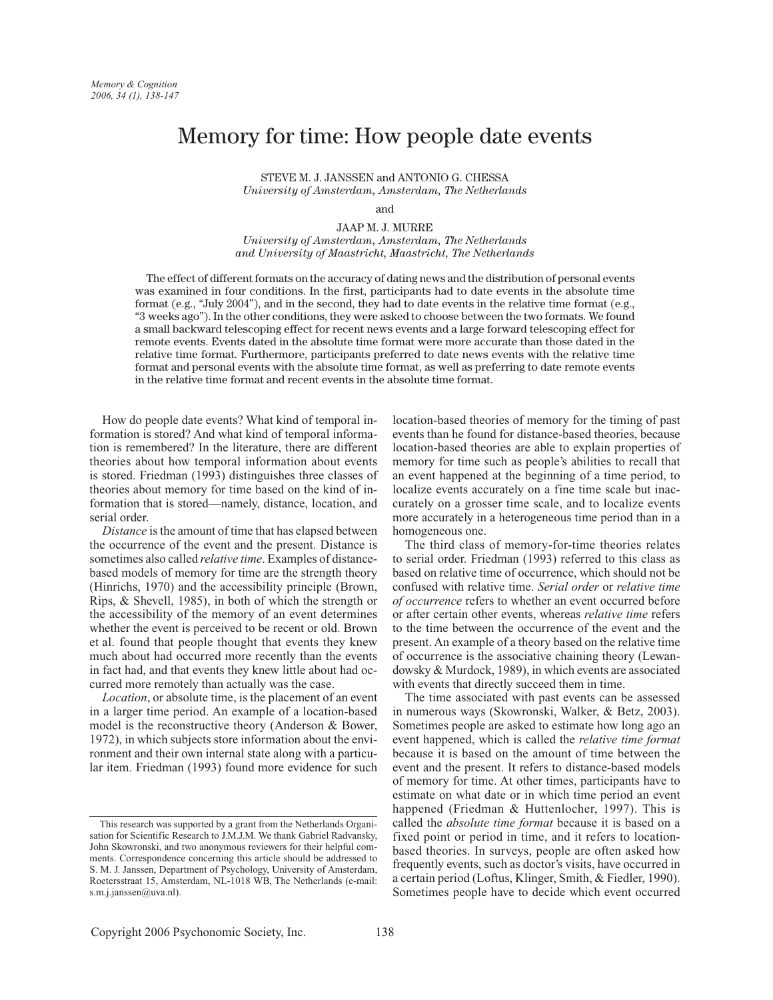# Memory for time: How people date events

STEVE M. J. JANSSEN and ANTONIO G. CHESSA *University of Amsterdam, Amsterdam, The Netherlands*

and

JAAP M. J. MURRE *University of Amsterdam, Amsterdam, The Netherlands and University of Maastricht, Maastricht, The Netherlands*

The effect of different formats on the accuracy of dating news and the distribution of personal events was examined in four conditions. In the first, participants had to date events in the absolute time format (e.g., "July 2004"), and in the second, they had to date events in the relative time format (e.g., "3 weeks ago"). In the other conditions, they were asked to choose between the two formats. We found a small backward telescoping effect for recent news events and a large forward telescoping effect for remote events. Events dated in the absolute time format were more accurate than those dated in the relative time format. Furthermore, participants preferred to date news events with the relative time format and personal events with the absolute time format, as well as preferring to date remote events in the relative time format and recent events in the absolute time format.

How do people date events? What kind of temporal information is stored? And what kind of temporal information is remembered? In the literature, there are different theories about how temporal information about events is stored. Friedman (1993) distinguishes three classes of theories about memory for time based on the kind of information that is stored—namely, distance, location, and serial order.

*Distance* is the amount of time that has elapsed between the occurrence of the event and the present. Distance is sometimes also called *relative time*. Examples of distancebased models of memory for time are the strength theory (Hinrichs, 1970) and the accessibility principle (Brown, Rips, & Shevell, 1985), in both of which the strength or the accessibility of the memory of an event determines whether the event is perceived to be recent or old. Brown et al. found that people thought that events they knew much about had occurred more recently than the events in fact had, and that events they knew little about had occurred more remotely than actually was the case.

*Location*, or absolute time, is the placement of an event in a larger time period. An example of a location-based model is the reconstructive theory (Anderson & Bower, 1972), in which subjects store information about the environment and their own internal state along with a particular item. Friedman (1993) found more evidence for such

location-based theories of memory for the timing of past events than he found for distance-based theories, because location-based theories are able to explain properties of memory for time such as people's abilities to recall that an event happened at the beginning of a time period, to localize events accurately on a fine time scale but inaccurately on a grosser time scale, and to localize events more accurately in a heterogeneous time period than in a homogeneous one.

The third class of memory-for-time theories relates to serial order. Friedman (1993) referred to this class as based on relative time of occurrence, which should not be confused with relative time. *Serial order* or *relative time of occurrence* refers to whether an event occurred before or after certain other events, whereas *relative time* refers to the time between the occurrence of the event and the present. An example of a theory based on the relative time of occurrence is the associative chaining theory (Lewandowsky & Murdock, 1989), in which events are associated with events that directly succeed them in time.

The time associated with past events can be assessed in numerous ways (Skowronski, Walker, & Betz, 2003). Sometimes people are asked to estimate how long ago an event happened, which is called the *relative time format* because it is based on the amount of time between the event and the present. It refers to distance-based models of memory for time. At other times, participants have to estimate on what date or in which time period an event happened (Friedman & Huttenlocher, 1997). This is called the *absolute time format* because it is based on a fixed point or period in time, and it refers to locationbased theories. In surveys, people are often asked how frequently events, such as doctor's visits, have occurred in a certain period (Loftus, Klinger, Smith, & Fiedler, 1990). Sometimes people have to decide which event occurred

This research was supported by a grant from the Netherlands Organisation for Scientific Research to J.M.J.M. We thank Gabriel Radvansky, John Skowronski, and two anonymous reviewers for their helpful comments. Correspondence concerning this article should be addressed to S. M. J. Janssen, Department of Psychology, University of Amsterdam, Roetersstraat 15, Amsterdam, NL-1018 WB, The Netherlands (e-mail: s.m.j.janssen@uva.nl).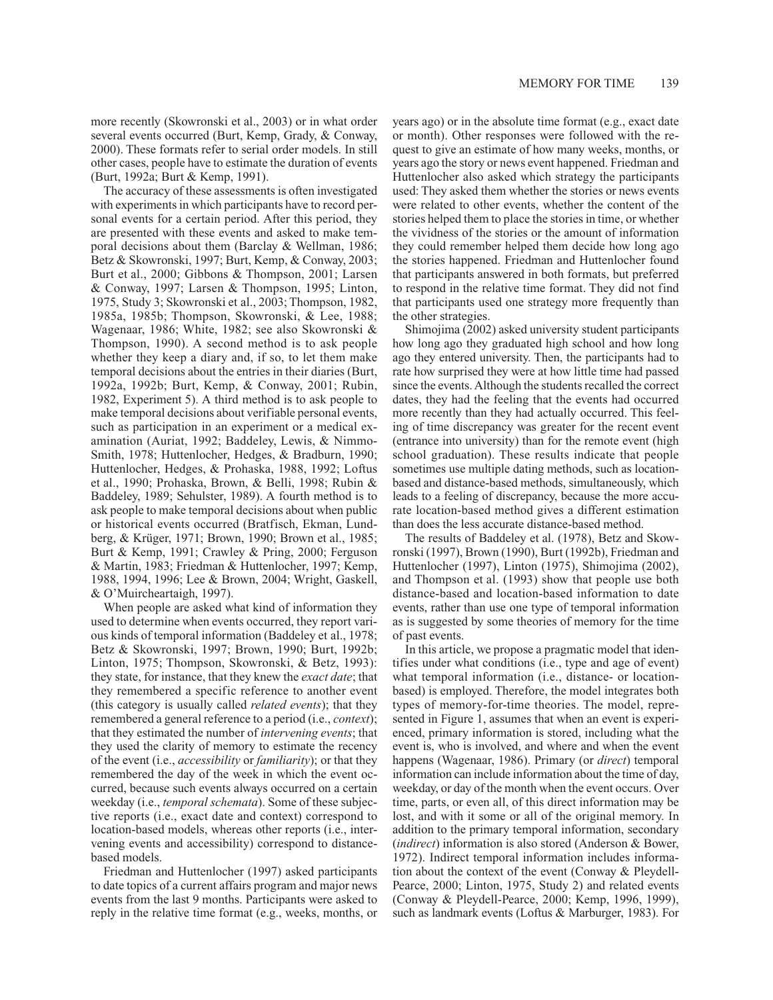more recently (Skowronski et al., 2003) or in what order several events occurred (Burt, Kemp, Grady, & Conway, 2000). These formats refer to serial order models. In still other cases, people have to estimate the duration of events (Burt, 1992a; Burt & Kemp, 1991).

The accuracy of these assessments is often investigated with experiments in which participants have to record personal events for a certain period. After this period, they are presented with these events and asked to make temporal decisions about them (Barclay & Wellman, 1986; Betz & Skowronski, 1997; Burt, Kemp, & Conway, 2003; Burt et al., 2000; Gibbons & Thompson, 2001; Larsen & Conway, 1997; Larsen & Thompson, 1995; Linton, 1975, Study 3; Skowronski et al., 2003; Thompson, 1982, 1985a, 1985b; Thompson, Skowronski, & Lee, 1988; Wagenaar, 1986; White, 1982; see also Skowronski & Thompson, 1990). A second method is to ask people whether they keep a diary and, if so, to let them make temporal decisions about the entries in their diaries (Burt, 1992a, 1992b; Burt, Kemp, & Conway, 2001; Rubin, 1982, Experiment 5). A third method is to ask people to make temporal decisions about verifiable personal events, such as participation in an experiment or a medical examination (Auriat, 1992; Baddeley, Lewis, & Nimmo-Smith, 1978; Huttenlocher, Hedges, & Bradburn, 1990; Huttenlocher, Hedges, & Prohaska, 1988, 1992; Loftus et al., 1990; Prohaska, Brown, & Belli, 1998; Rubin & Baddeley, 1989; Sehulster, 1989). A fourth method is to ask people to make temporal decisions about when public or historical events occurred (Bratfisch, Ekman, Lundberg, & Krüger, 1971; Brown, 1990; Brown et al., 1985; Burt & Kemp, 1991; Crawley & Pring, 2000; Ferguson & Martin, 1983; Friedman & Huttenlocher, 1997; Kemp, 1988, 1994, 1996; Lee & Brown, 2004; Wright, Gaskell, & O'Muircheartaigh, 1997).

When people are asked what kind of information they used to determine when events occurred, they report various kinds of temporal information (Baddeley et al., 1978; Betz & Skowronski, 1997; Brown, 1990; Burt, 1992b; Linton, 1975; Thompson, Skowronski, & Betz, 1993): they state, for instance, that they knew the *exact date*; that they remembered a specific reference to another event (this category is usually called *related events*); that they remembered a general reference to a period (i.e., *context*); that they estimated the number of *intervening events*; that they used the clarity of memory to estimate the recency of the event (i.e., *accessibility* or *familiarity*); or that they remembered the day of the week in which the event occurred, because such events always occurred on a certain weekday (i.e., *temporal schemata*). Some of these subjective reports (i.e., exact date and context) correspond to location-based models, whereas other reports (i.e., intervening events and accessibility) correspond to distancebased models.

Friedman and Huttenlocher (1997) asked participants to date topics of a current affairs program and major news events from the last 9 months. Participants were asked to reply in the relative time format (e.g., weeks, months, or

years ago) or in the absolute time format (e.g., exact date or month). Other responses were followed with the request to give an estimate of how many weeks, months, or years ago the story or news event happened. Friedman and Huttenlocher also asked which strategy the participants used: They asked them whether the stories or news events were related to other events, whether the content of the stories helped them to place the stories in time, or whether the vividness of the stories or the amount of information they could remember helped them decide how long ago the stories happened. Friedman and Huttenlocher found that participants answered in both formats, but preferred to respond in the relative time format. They did not find that participants used one strategy more frequently than the other strategies.

Shimojima (2002) asked university student participants how long ago they graduated high school and how long ago they entered university. Then, the participants had to rate how surprised they were at how little time had passed since the events. Although the students recalled the correct dates, they had the feeling that the events had occurred more recently than they had actually occurred. This feeling of time discrepancy was greater for the recent event (entrance into university) than for the remote event (high school graduation). These results indicate that people sometimes use multiple dating methods, such as locationbased and distance-based methods, simultaneously, which leads to a feeling of discrepancy, because the more accurate location-based method gives a different estimation than does the less accurate distance-based method.

The results of Baddeley et al. (1978), Betz and Skowronski (1997), Brown (1990), Burt (1992b), Friedman and Huttenlocher (1997), Linton (1975), Shimojima (2002), and Thompson et al. (1993) show that people use both distance-based and location-based information to date events, rather than use one type of temporal information as is suggested by some theories of memory for the time of past events.

In this article, we propose a pragmatic model that identifies under what conditions (i.e., type and age of event) what temporal information (i.e., distance- or locationbased) is employed. Therefore, the model integrates both types of memory-for-time theories. The model, represented in Figure 1, assumes that when an event is experienced, primary information is stored, including what the event is, who is involved, and where and when the event happens (Wagenaar, 1986). Primary (or *direct*) temporal information can include information about the time of day, weekday, or day of the month when the event occurs. Over time, parts, or even all, of this direct information may be lost, and with it some or all of the original memory. In addition to the primary temporal information, secondary (*indirect*) information is also stored (Anderson & Bower, 1972). Indirect temporal information includes information about the context of the event (Conway & Pleydell-Pearce, 2000; Linton, 1975, Study 2) and related events (Conway & Pleydell-Pearce, 2000; Kemp, 1996, 1999), such as landmark events (Loftus & Marburger, 1983). For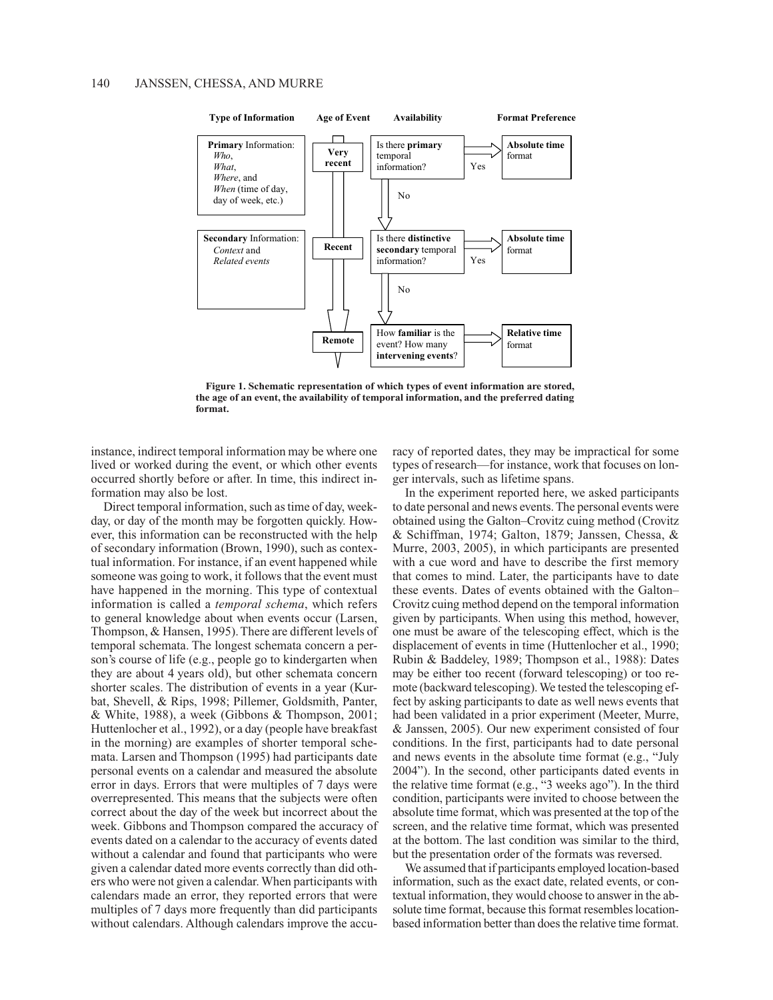

**Figure 1. Schematic representation of which types of event information are stored, the age of an event, the availability of temporal information, and the preferred dating format.**

instance, indirect temporal information may be where one lived or worked during the event, or which other events occurred shortly before or after. In time, this indirect information may also be lost.

Direct temporal information, such as time of day, weekday, or day of the month may be forgotten quickly. However, this information can be reconstructed with the help of secondary information (Brown, 1990), such as contextual information. For instance, if an event happened while someone was going to work, it follows that the event must have happened in the morning. This type of contextual information is called a *temporal schema*, which refers to general knowledge about when events occur (Larsen, Thompson, & Hansen, 1995). There are different levels of temporal schemata. The longest schemata concern a person's course of life (e.g., people go to kindergarten when they are about 4 years old), but other schemata concern shorter scales. The distribution of events in a year (Kurbat, Shevell, & Rips, 1998; Pillemer, Goldsmith, Panter, & White, 1988), a week (Gibbons & Thompson, 2001; Huttenlocher et al., 1992), or a day (people have breakfast in the morning) are examples of shorter temporal schemata. Larsen and Thompson (1995) had participants date personal events on a calendar and measured the absolute error in days. Errors that were multiples of 7 days were overrepresented. This means that the subjects were often correct about the day of the week but incorrect about the week. Gibbons and Thompson compared the accuracy of events dated on a calendar to the accuracy of events dated without a calendar and found that participants who were given a calendar dated more events correctly than did others who were not given a calendar. When participants with calendars made an error, they reported errors that were multiples of 7 days more frequently than did participants without calendars. Although calendars improve the accuracy of reported dates, they may be impractical for some types of research—for instance, work that focuses on longer intervals, such as lifetime spans.

In the experiment reported here, we asked participants to date personal and news events. The personal events were obtained using the Galton–Crovitz cuing method (Crovitz & Schiffman, 1974; Galton, 1879; Janssen, Chessa, & Murre, 2003, 2005), in which participants are presented with a cue word and have to describe the first memory that comes to mind. Later, the participants have to date these events. Dates of events obtained with the Galton– Crovitz cuing method depend on the temporal information given by participants. When using this method, however, one must be aware of the telescoping effect, which is the displacement of events in time (Huttenlocher et al., 1990; Rubin & Baddeley, 1989; Thompson et al., 1988): Dates may be either too recent (forward telescoping) or too remote (backward telescoping). We tested the telescoping effect by asking participants to date as well news events that had been validated in a prior experiment (Meeter, Murre, & Janssen, 2005). Our new experiment consisted of four conditions. In the first, participants had to date personal and news events in the absolute time format (e.g., "July 2004"). In the second, other participants dated events in the relative time format (e.g., "3 weeks ago"). In the third condition, participants were invited to choose between the absolute time format, which was presented at the top of the screen, and the relative time format, which was presented at the bottom. The last condition was similar to the third, but the presentation order of the formats was reversed.

We assumed that if participants employed location-based information, such as the exact date, related events, or contextual information, they would choose to answer in the absolute time format, because this format resembles locationbased information better than does the relative time format.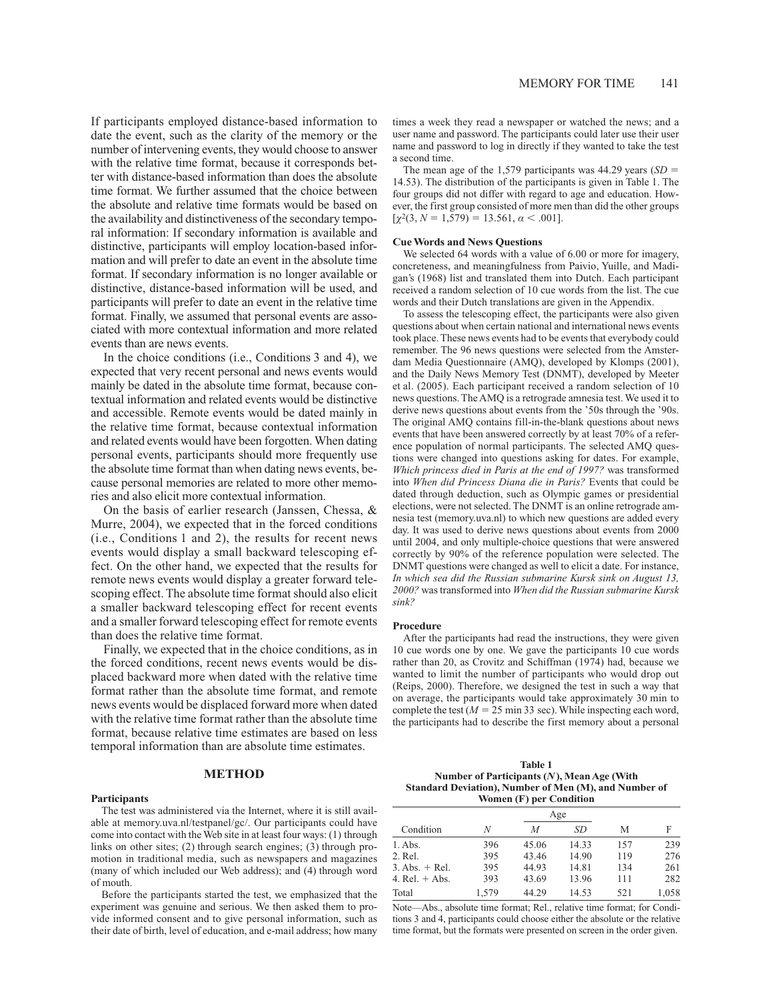If participants employed distance-based information to date the event, such as the clarity of the memory or the number of intervening events, they would choose to answer with the relative time format, because it corresponds better with distance-based information than does the absolute time format. We further assumed that the choice between the absolute and relative time formats would be based on the availability and distinctiveness of the secondary temporal information: If secondary information is available and distinctive, participants will employ location-based information and will prefer to date an event in the absolute time format. If secondary information is no longer available or distinctive, distance-based information will be used, and participants will prefer to date an event in the relative time format. Finally, we assumed that personal events are associated with more contextual information and more related events than are news events.

In the choice conditions (i.e., Conditions 3 and 4), we expected that very recent personal and news events would mainly be dated in the absolute time format, because contextual information and related events would be distinctive and accessible. Remote events would be dated mainly in the relative time format, because contextual information and related events would have been forgotten. When dating personal events, participants should more frequently use the absolute time format than when dating news events, because personal memories are related to more other memories and also elicit more contextual information.

On the basis of earlier research (Janssen, Chessa, & Murre, 2004), we expected that in the forced conditions (i.e., Conditions 1 and 2), the results for recent news events would display a small backward telescoping effect. On the other hand, we expected that the results for remote news events would display a greater forward telescoping effect. The absolute time format should also elicit a smaller backward telescoping effect for recent events and a smaller forward telescoping effect for remote events than does the relative time format.

Finally, we expected that in the choice conditions, as in the forced conditions, recent news events would be displaced backward more when dated with the relative time format rather than the absolute time format, and remote news events would be displaced forward more when dated with the relative time format rather than the absolute time format, because relative time estimates are based on less temporal information than are absolute time estimates.

## **METHOD**

#### **Participants**

The test was administered via the Internet, where it is still available at memory.uva.nl/testpanel/gc/. Our participants could have come into contact with the Web site in at least four ways: (1) through links on other sites; (2) through search engines; (3) through promotion in traditional media, such as newspapers and magazines (many of which included our Web address); and (4) through word of mouth.

Before the participants started the test, we emphasized that the experiment was genuine and serious. We then asked them to provide informed consent and to give personal information, such as their date of birth, level of education, and e-mail address; how many times a week they read a newspaper or watched the news; and a user name and password. The participants could later use their user name and password to log in directly if they wanted to take the test a second time.

The mean age of the 1,579 participants was  $44.29$  years (*SD* = 14.53). The distribution of the participants is given in Table 1. The four groups did not differ with regard to age and education. However, the first group consisted of more men than did the other groups  $[\chi^2(3, N = 1,579) = 13.561, \alpha < .001].$ 

#### **Cue Words and News Questions**

We selected 64 words with a value of 6.00 or more for imagery, concreteness, and meaningfulness from Paivio, Yuille, and Madigan's (1968) list and translated them into Dutch. Each participant received a random selection of 10 cue words from the list. The cue words and their Dutch translations are given in the Appendix.

To assess the telescoping effect, the participants were also given questions about when certain national and international news events took place. These news events had to be events that everybody could remember. The 96 news questions were selected from the Amsterdam Media Questionnaire (AMQ), developed by Klomps (2001), and the Daily News Memory Test (DNMT), developed by Meeter et al. (2005). Each participant received a random selection of 10 news questions. The AMQ is a retrograde amnesia test. We used it to derive news questions about events from the '50s through the '90s. The original AMQ contains fill-in-the-blank questions about news events that have been answered correctly by at least 70% of a reference population of normal participants. The selected AMQ questions were changed into questions asking for dates. For example, *Which princess died in Paris at the end of 1997?* was transformed into *When did Princess Diana die in Paris?* Events that could be dated through deduction, such as Olympic games or presidential elections, were not selected. The DNMT is an online retrograde amnesia test (memory.uva.nl) to which new questions are added every day. It was used to derive news questions about events from 2000 until 2004, and only multiple-choice questions that were answered correctly by 90% of the reference population were selected. The DNMT questions were changed as well to elicit a date. For instance, *In which sea did the Russian submarine Kursk sink on August 13, 2000?* was transformed into *When did the Russian submarine Kursk sink?*

#### **Procedure**

After the participants had read the instructions, they were given 10 cue words one by one. We gave the participants 10 cue words rather than 20, as Crovitz and Schiffman (1974) had, because we wanted to limit the number of participants who would drop out (Reips, 2000). Therefore, we designed the test in such a way that on average, the participants would take approximately 30 min to complete the test  $(M = 25 \text{ min } 33 \text{ sec})$ . While inspecting each word, the participants had to describe the first memory about a personal

**Table 1 Number of Participants (***N***), Mean Age (With Standard Deviation), Number of Men (M), and Number of Women (F) per Condition**

|                    | Age   |       |       |     |       |
|--------------------|-------|-------|-------|-----|-------|
| Condition          | N     | M     | SD    | М   | F     |
| $1.$ Abs.          | 396   | 45.06 | 14.33 | 157 | 239   |
| 2. Rel.            | 395   | 43.46 | 14.90 | 119 | 276   |
| $3.$ Abs. $+$ Rel. | 395   | 44.93 | 14.81 | 134 | 261   |
| 4. $Rel. + Abs.$   | 393   | 43.69 | 13.96 | 111 | 282   |
| Total              | 1.579 | 44.29 | 14.53 | 521 | 1,058 |

Note—Abs., absolute time format; Rel., relative time format; for Conditions 3 and 4, participants could choose either the absolute or the relative time format, but the formats were presented on screen in the order given.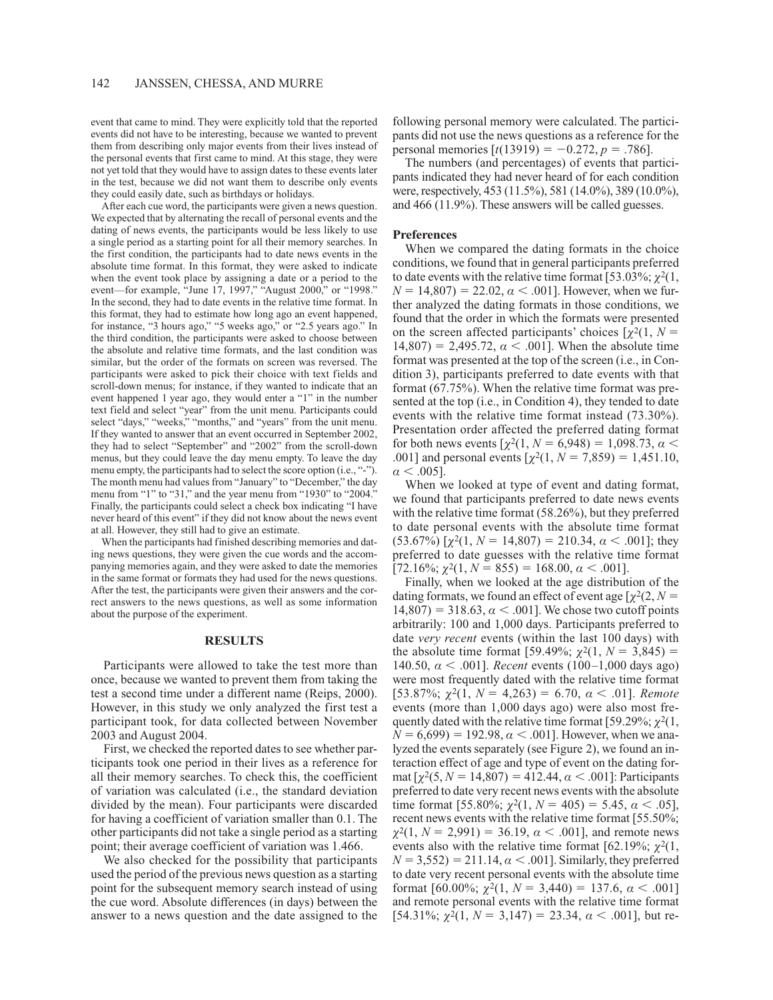event that came to mind. They were explicitly told that the reported events did not have to be interesting, because we wanted to prevent them from describing only major events from their lives instead of the personal events that first came to mind. At this stage, they were not yet told that they would have to assign dates to these events later in the test, because we did not want them to describe only events they could easily date, such as birthdays or holidays.

After each cue word, the participants were given a news question. We expected that by alternating the recall of personal events and the dating of news events, the participants would be less likely to use a single period as a starting point for all their memory searches. In the first condition, the participants had to date news events in the absolute time format. In this format, they were asked to indicate when the event took place by assigning a date or a period to the event—for example, "June 17, 1997," "August 2000," or "1998." In the second, they had to date events in the relative time format. In this format, they had to estimate how long ago an event happened, for instance, "3 hours ago," "5 weeks ago," or "2.5 years ago." In the third condition, the participants were asked to choose between the absolute and relative time formats, and the last condition was similar, but the order of the formats on screen was reversed. The participants were asked to pick their choice with text fields and scroll-down menus; for instance, if they wanted to indicate that an event happened 1 year ago, they would enter a "1" in the number text field and select "year" from the unit menu. Participants could select "days," "weeks," "months," and "years" from the unit menu. If they wanted to answer that an event occurred in September 2002, they had to select "September" and "2002" from the scroll-down menus, but they could leave the day menu empty. To leave the day menu empty, the participants had to select the score option (i.e., "-"). The month menu had values from "January" to "December," the day menu from "1" to "31," and the year menu from "1930" to "2004." Finally, the participants could select a check box indicating "I have never heard of this event" if they did not know about the news event at all. However, they still had to give an estimate.

When the participants had finished describing memories and dating news questions, they were given the cue words and the accompanying memories again, and they were asked to date the memories in the same format or formats they had used for the news questions. After the test, the participants were given their answers and the correct answers to the news questions, as well as some information about the purpose of the experiment.

### **RESULTS**

Participants were allowed to take the test more than once, because we wanted to prevent them from taking the test a second time under a different name (Reips, 2000). However, in this study we only analyzed the first test a participant took, for data collected between November 2003 and August 2004.

First, we checked the reported dates to see whether participants took one period in their lives as a reference for all their memory searches. To check this, the coefficient of variation was calculated (i.e., the standard deviation divided by the mean). Four participants were discarded for having a coefficient of variation smaller than 0.1. The other participants did not take a single period as a starting point; their average coefficient of variation was 1.466.

We also checked for the possibility that participants used the period of the previous news question as a starting point for the subsequent memory search instead of using the cue word. Absolute differences (in days) between the answer to a news question and the date assigned to the

following personal memory were calculated. The participants did not use the news questions as a reference for the personal memories  $[t(13919) = -0.272, p = .786]$ .

The numbers (and percentages) of events that participants indicated they had never heard of for each condition were, respectively, 453 (11.5%), 581 (14.0%), 389 (10.0%), and 466 (11.9%). These answers will be called guesses.

#### **Preferences**

When we compared the dating formats in the choice conditions, we found that in general participants preferred to date events with the relative time format [53.03%; *χ*2(1,  $N = 14,807$  = 22.02,  $\alpha$  < .001]. However, when we further analyzed the dating formats in those conditions, we found that the order in which the formats were presented on the screen affected participants' choices  $[\chi^2(1, N =$  $14,807$ ) = 2,495.72,  $\alpha$  < .001]. When the absolute time format was presented at the top of the screen (i.e., in Condition 3), participants preferred to date events with that format (67.75%). When the relative time format was presented at the top (i.e., in Condition 4), they tended to date events with the relative time format instead (73.30%). Presentation order affected the preferred dating format for both news events  $[\chi^2(1, N = 6,948) = 1,098.73, \alpha <$ .001] and personal events  $[\chi^2(1, N = 7,859) = 1,451.10,$  $\alpha$  < .005].

When we looked at type of event and dating format, we found that participants preferred to date news events with the relative time format (58.26%), but they preferred to date personal events with the absolute time format  $(53.67\%) [\chi^2(1, N = 14,807) = 210.34, \alpha < .001]$ ; they preferred to date guesses with the relative time format  $[72.16\%; \chi^2(1, N = 855) = 168.00, \alpha < .001].$ 

Finally, when we looked at the age distribution of the dating formats, we found an effect of event age  $[\chi^2(2, N =$  $14,807$  = 318.63,  $\alpha$  < .001]. We chose two cutoff points arbitrarily: 100 and 1,000 days. Participants preferred to date *very recent* events (within the last 100 days) with the absolute time format [59.49%;  $\chi^2(1, N = 3,845)$  = 140.50,  $\alpha$  < .001]. *Recent* events (100–1,000 days ago) were most frequently dated with the relative time format  $[53.87\%; \chi^2(1, N = 4,263) = 6.70, \alpha < .01]$ . *Remote* events (more than 1,000 days ago) were also most frequently dated with the relative time format [59.29%;  $\chi^2(1)$ ,  $N = 6,699$  = 192.98,  $\alpha$  < .001]. However, when we analyzed the events separately (see Figure 2), we found an interaction effect of age and type of event on the dating format  $[\chi^2(5, N = 14, 807) = 412.44, \alpha < .001]$ : Participants preferred to date very recent news events with the absolute time format [55.80%;  $\chi^2(1, N = 405) = 5.45, \alpha < .05$ ], recent news events with the relative time format [55.50%;  $\chi^2(1, N = 2,991) = 36.19, \alpha < .001$ ], and remote news events also with the relative time format [62.19%;  $\chi^2(1, 1)$  $N = 3,552$ ) = 211.14,  $\alpha$  < .001]. Similarly, they preferred to date very recent personal events with the absolute time format  $[60.00\%; \chi^2(1, N = 3,440) = 137.6, \alpha < .001]$ and remote personal events with the relative time format [54.31%;  $\chi^2(1, N = 3,147) = 23.34, \alpha < .001$ ], but re-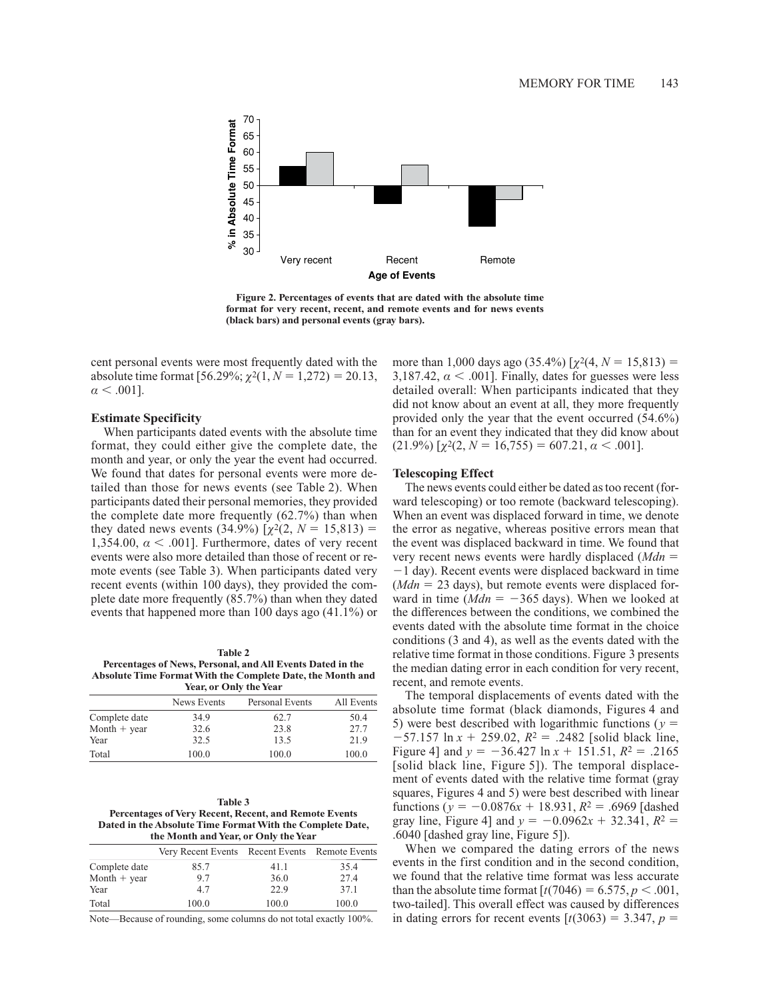

**Figure 2. Percentages of events that are dated with the absolute time format for very recent, recent, and remote events and for news events (black bars) and personal events (gray bars).**

cent personal events were most frequently dated with the absolute time format  $[56.29\%; \chi^2(1, N=1,272) = 20.13,$  $\alpha \leq .001$ ].

## **Estimate Specificity**

When participants dated events with the absolute time format, they could either give the complete date, the month and year, or only the year the event had occurred. We found that dates for personal events were more detailed than those for news events (see Table 2). When participants dated their personal memories, they provided the complete date more frequently (62.7%) than when they dated news events  $(34.9\%) [\chi^2(2, N = 15,813)$  = 1,354.00,  $\alpha$  < .001]. Furthermore, dates of very recent events were also more detailed than those of recent or remote events (see Table 3). When participants dated very recent events (within 100 days), they provided the complete date more frequently (85.7%) than when they dated events that happened more than 100 days ago (41.1%) or

**Table 2 Percentages of News, Personal, and All Events Dated in the Absolute Time Format With the Complete Date, the Month and Year, or Only the Year**

| really of Omly the real |                 |            |  |  |  |  |
|-------------------------|-----------------|------------|--|--|--|--|
| News Events             | Personal Events | All Events |  |  |  |  |
| 34.9                    | 62.7            | 50.4       |  |  |  |  |
| 32.6                    | 23.8            | 27.7       |  |  |  |  |
| 32.5                    | 13.5            | 21.9       |  |  |  |  |
| 100.0                   | 100.0           | 100.0      |  |  |  |  |
|                         |                 |            |  |  |  |  |

**Table 3 Percentages of Very Recent, Recent, and Remote Events Dated in the Absolute Time Format With the Complete Date, the Month and Year, or Only the Year**

|                | Very Recent Events Recent Events Remote Events |       |       |  |  |
|----------------|------------------------------------------------|-------|-------|--|--|
| Complete date  | 85.7                                           | 41.1  | 35.4  |  |  |
| Month $+$ year | 9.7                                            | 36.0  | 27.4  |  |  |
| Year           | 47                                             | 22.9  | 37.1  |  |  |
| Total          | 100.0                                          | 100.0 | 100.0 |  |  |
|                |                                                |       |       |  |  |

Note—Because of rounding, some columns do not total exactly 100%.

more than 1,000 days ago  $(35.4\%)$  [ $\chi^2(4, N = 15,813)$  = 3,187.42,  $\alpha$  < .001]. Finally, dates for guesses were less detailed overall: When participants indicated that they did not know about an event at all, they more frequently provided only the year that the event occurred (54.6%) than for an event they indicated that they did know about  $(21.9\%) [\chi^2(2, N = 16,755) = 607.21, \alpha < .001].$ 

## **Telescoping Effect**

The news events could either be dated as too recent (forward telescoping) or too remote (backward telescoping). When an event was displaced forward in time, we denote the error as negative, whereas positive errors mean that the event was displaced backward in time. We found that very recent news events were hardly displaced  $(Mdn =$  $-1$  day). Recent events were displaced backward in time  $(Mdn = 23$  days), but remote events were displaced forward in time  $(Mdn = -365 \text{ days})$ . When we looked at the differences between the conditions, we combined the events dated with the absolute time format in the choice conditions (3 and 4), as well as the events dated with the relative time format in those conditions. Figure 3 presents the median dating error in each condition for very recent, recent, and remote events.

The temporal displacements of events dated with the absolute time format (black diamonds, Figures 4 and 5) were best described with logarithmic functions ( $y =$  $-57.157 \ln x + 259.02$ ,  $R^2 = .2482$  [solid black line, Figure 4] and  $y = -36.427 \ln x + 151.51$ ,  $R^2 = .2165$ [solid black line, Figure 5]). The temporal displacement of events dated with the relative time format (gray squares, Figures 4 and 5) were best described with linear functions ( $y = -0.0876x + 18.931$ ,  $R^2 = .6969$  [dashed gray line, Figure 4] and  $y = -0.0962x + 32.341$ ,  $R^2 =$ .6040 [dashed gray line, Figure 5]).

When we compared the dating errors of the news events in the first condition and in the second condition, we found that the relative time format was less accurate than the absolute time format  $[t(7046) = 6.575, p < .001,$ two-tailed]. This overall effect was caused by differences in dating errors for recent events  $[t(3063) = 3.347, p =$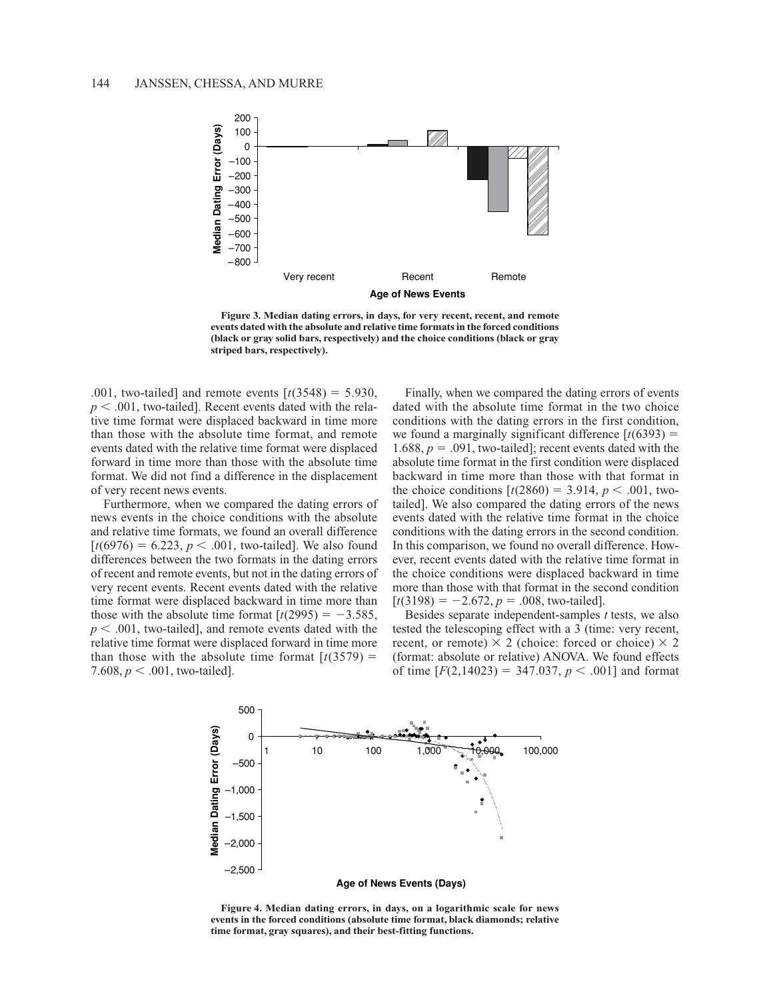

**Figure 3. Median dating errors, in days, for very recent, recent, and remote events dated with the absolute and relative time formats in the forced conditions (black or gray solid bars, respectively) and the choice conditions (black or gray striped bars, respectively).**

.001, two-tailed] and remote events  $[t(3548) = 5.930,$  $p < .001$ , two-tailed]. Recent events dated with the relative time format were displaced backward in time more than those with the absolute time format, and remote events dated with the relative time format were displaced forward in time more than those with the absolute time format. We did not find a difference in the displacement of very recent news events.

Furthermore, when we compared the dating errors of news events in the choice conditions with the absolute and relative time formats, we found an overall difference  $[t(6976) = 6.223, p < .001,$  two-tailed]. We also found differences between the two formats in the dating errors of recent and remote events, but not in the dating errors of very recent events. Recent events dated with the relative time format were displaced backward in time more than those with the absolute time format  $[t(2995) = -3.585]$ ,  $p < .001$ , two-tailed], and remote events dated with the relative time format were displaced forward in time more than those with the absolute time format  $[t(3579) =$ 7.608,  $p < .001$ , two-tailed].

Finally, when we compared the dating errors of events dated with the absolute time format in the two choice conditions with the dating errors in the first condition, we found a marginally significant difference  $[t(6393) =$ 1.688,  $p = .091$ , two-tailed]; recent events dated with the absolute time format in the first condition were displaced backward in time more than those with that format in the choice conditions  $[t(2860) = 3.914, p < .001,$  twotailed]. We also compared the dating errors of the news events dated with the relative time format in the choice conditions with the dating errors in the second condition. In this comparison, we found no overall difference. However, recent events dated with the relative time format in the choice conditions were displaced backward in time more than those with that format in the second condition  $[t(3198) = -2.672, p = .008$ , two-tailed].

Besides separate independent-samples *t* tests, we also tested the telescoping effect with a 3 (time: very recent, recent, or remote)  $\times$  2 (choice: forced or choice)  $\times$  2 (format: absolute or relative) ANOVA. We found effects of time  $[F(2,14023) = 347.037, p < .001]$  and format



**Figure 4. Median dating errors, in days, on a logarithmic scale for news events in the forced conditions (absolute time format, black diamonds; relative time format, gray squares), and their best-fitting functions.**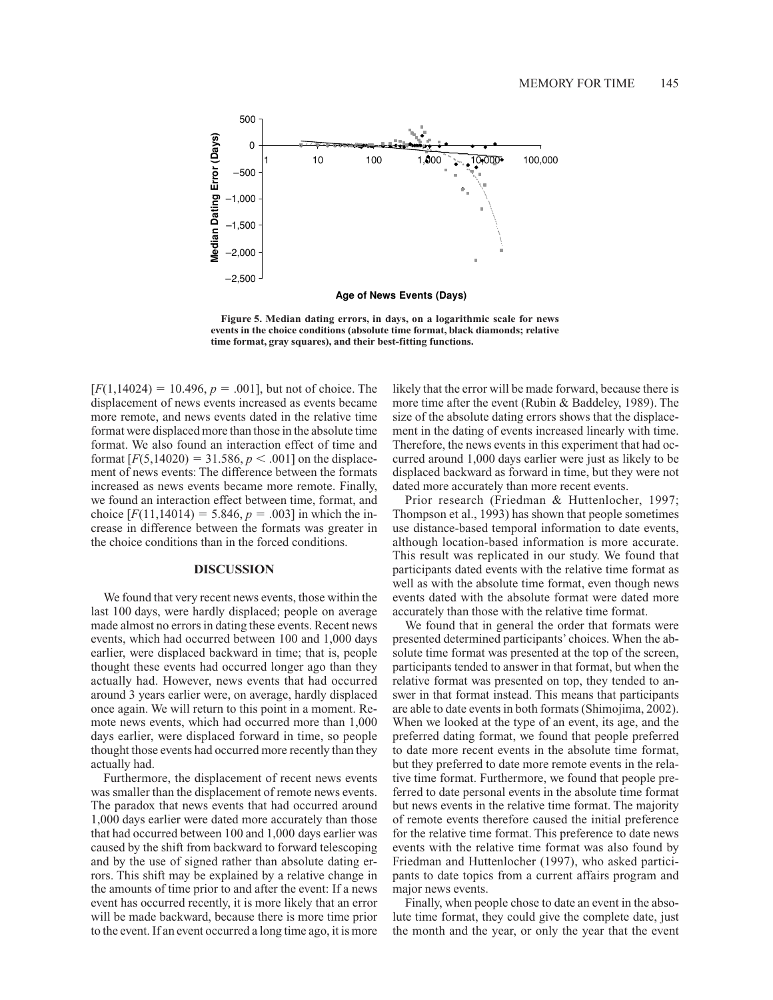

**Figure 5. Median dating errors, in days, on a logarithmic scale for news events in the choice conditions (absolute time format, black diamonds; relative time format, gray squares), and their best-fitting functions.**

 $[F(1,14024) = 10.496, p = .001]$ , but not of choice. The displacement of news events increased as events became more remote, and news events dated in the relative time format were displaced more than those in the absolute time format. We also found an interaction effect of time and format  $[F(5, 14020) = 31.586, p < .001]$  on the displacement of news events: The difference between the formats increased as news events became more remote. Finally, we found an interaction effect between time, format, and choice  $[F(11, 14014) = 5.846, p = .003]$  in which the increase in difference between the formats was greater in the choice conditions than in the forced conditions.

## **DISCUSSION**

We found that very recent news events, those within the last 100 days, were hardly displaced; people on average made almost no errors in dating these events. Recent news events, which had occurred between 100 and 1,000 days earlier, were displaced backward in time; that is, people thought these events had occurred longer ago than they actually had. However, news events that had occurred around 3 years earlier were, on average, hardly displaced once again. We will return to this point in a moment. Remote news events, which had occurred more than 1,000 days earlier, were displaced forward in time, so people thought those events had occurred more recently than they actually had.

Furthermore, the displacement of recent news events was smaller than the displacement of remote news events. The paradox that news events that had occurred around 1,000 days earlier were dated more accurately than those that had occurred between 100 and 1,000 days earlier was caused by the shift from backward to forward telescoping and by the use of signed rather than absolute dating errors. This shift may be explained by a relative change in the amounts of time prior to and after the event: If a news event has occurred recently, it is more likely that an error will be made backward, because there is more time prior to the event. If an event occurred a long time ago, it is more

likely that the error will be made forward, because there is more time after the event (Rubin & Baddeley, 1989). The size of the absolute dating errors shows that the displacement in the dating of events increased linearly with time. Therefore, the news events in this experiment that had occurred around 1,000 days earlier were just as likely to be displaced backward as forward in time, but they were not dated more accurately than more recent events.

Prior research (Friedman & Huttenlocher, 1997; Thompson et al., 1993) has shown that people sometimes use distance-based temporal information to date events, although location-based information is more accurate. This result was replicated in our study. We found that participants dated events with the relative time format as well as with the absolute time format, even though news events dated with the absolute format were dated more accurately than those with the relative time format.

We found that in general the order that formats were presented determined participants' choices. When the absolute time format was presented at the top of the screen, participants tended to answer in that format, but when the relative format was presented on top, they tended to answer in that format instead. This means that participants are able to date events in both formats (Shimojima, 2002). When we looked at the type of an event, its age, and the preferred dating format, we found that people preferred to date more recent events in the absolute time format, but they preferred to date more remote events in the relative time format. Furthermore, we found that people preferred to date personal events in the absolute time format but news events in the relative time format. The majority of remote events therefore caused the initial preference for the relative time format. This preference to date news events with the relative time format was also found by Friedman and Huttenlocher (1997), who asked participants to date topics from a current affairs program and major news events.

Finally, when people chose to date an event in the absolute time format, they could give the complete date, just the month and the year, or only the year that the event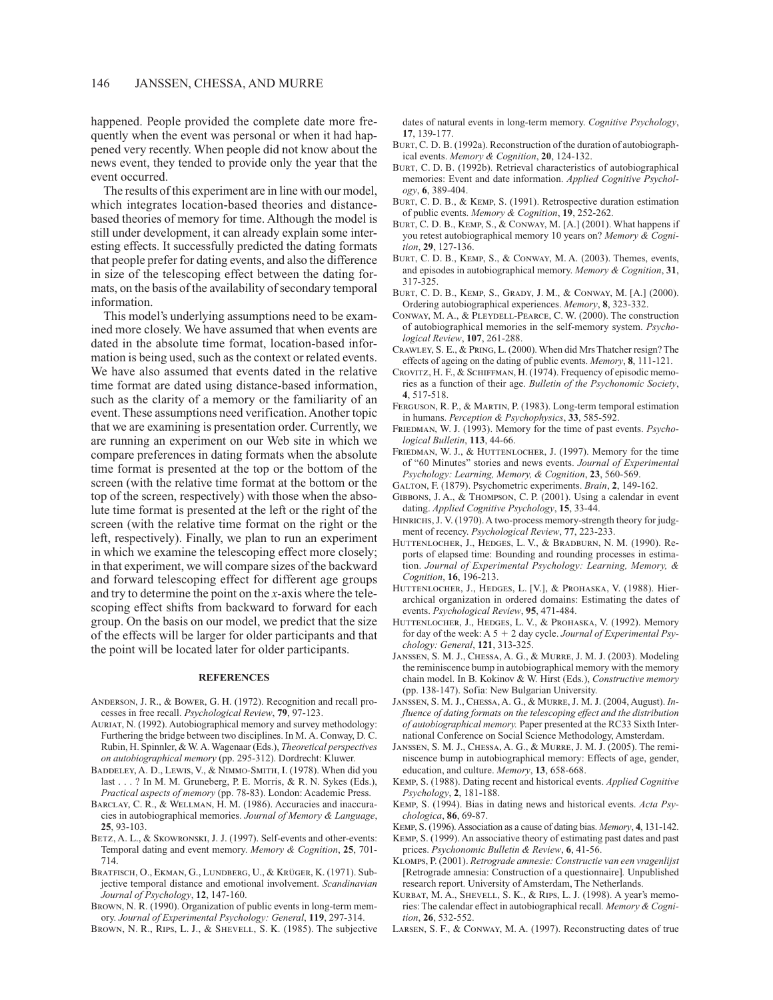happened. People provided the complete date more frequently when the event was personal or when it had happened very recently. When people did not know about the news event, they tended to provide only the year that the event occurred.

The results of this experiment are in line with our model, which integrates location-based theories and distancebased theories of memory for time. Although the model is still under development, it can already explain some interesting effects. It successfully predicted the dating formats that people prefer for dating events, and also the difference in size of the telescoping effect between the dating formats, on the basis of the availability of secondary temporal information.

This model's underlying assumptions need to be examined more closely. We have assumed that when events are dated in the absolute time format, location-based information is being used, such as the context or related events. We have also assumed that events dated in the relative time format are dated using distance-based information, such as the clarity of a memory or the familiarity of an event. These assumptions need verification. Another topic that we are examining is presentation order. Currently, we are running an experiment on our Web site in which we compare preferences in dating formats when the absolute time format is presented at the top or the bottom of the screen (with the relative time format at the bottom or the top of the screen, respectively) with those when the absolute time format is presented at the left or the right of the screen (with the relative time format on the right or the left, respectively). Finally, we plan to run an experiment in which we examine the telescoping effect more closely; in that experiment, we will compare sizes of the backward and forward telescoping effect for different age groups and try to determine the point on the *x*-axis where the telescoping effect shifts from backward to forward for each group. On the basis on our model, we predict that the size of the effects will be larger for older participants and that the point will be located later for older participants.

#### **REFERENCES**

- Anderson, J. R., & Bower, G. H. (1972). Recognition and recall processes in free recall. *Psychological Review*, **79**, 97-123.
- AURIAT, N. (1992). Autobiographical memory and survey methodology: Furthering the bridge between two disciplines. In M. A. Conway, D. C. Rubin, H. Spinnler, & W. A. Wagenaar (Eds.), *Theoretical perspectives on autobiographical memory* (pp. 295-312). Dordrecht: Kluwer.
- BADDELEY, A. D., LEWIS, V., & NIMMO-SMITH, I. (1978). When did you last . . . ? In M. M. Gruneberg, P. E. Morris, & R. N. Sykes (Eds.), *Practical aspects of memory* (pp. 78-83). London: Academic Press.
- BARCLAY, C. R., & WELLMAN, H. M. (1986). Accuracies and inaccuracies in autobiographical memories. *Journal of Memory & Language*, **25**, 93-103.
- BETZ, A. L., & SKOWRONSKI, J. J. (1997). Self-events and other-events: Temporal dating and event memory. *Memory & Cognition*, **25**, 701- 714.
- Bratfisch, O., Ekman, G., Lundberg, U., & Krüger, K. (1971). Subjective temporal distance and emotional involvement. *Scandinavian Journal of Psychology*, **12**, 147-160.

Brown, N. R. (1990). Organization of public events in long-term memory. *Journal of Experimental Psychology: General*, **119**, 297-314.

Brown, N. R., Rips, L. J., & Shevell, S. K. (1985). The subjective

dates of natural events in long-term memory. *Cognitive Psychology*, **17**, 139-177.

- Burt, C. D. B. (1992a). Reconstruction of the duration of autobiographical events. *Memory & Cognition*, **20**, 124-132.
- Burt, C. D. B. (1992b). Retrieval characteristics of autobiographical memories: Event and date information. *Applied Cognitive Psychology*, **6**, 389-404.
- Burt, C. D. B., & Kemp, S. (1991). Retrospective duration estimation of public events. *Memory & Cognition*, **19**, 252-262.
- Burt, C. D. B., Kemp, S., & Conway, M. [A.] (2001). What happens if you retest autobiographical memory 10 years on? *Memory & Cognition*, **29**, 127-136.
- Burt, C. D. B., Kemp, S., & Conway, M. A. (2003). Themes, events, and episodes in autobiographical memory. *Memory & Cognition*, **31**, 317-325.
- Burt, C. D. B., Kemp, S., Grady, J. M., & Conway, M. [A.] (2000). Ordering autobiographical experiences. *Memory*, **8**, 323-332.
- Conway, M. A., & Pleydell-Pearce, C. W. (2000). The construction of autobiographical memories in the self-memory system. *Psychological Review*, **107**, 261-288.
- Crawley, S. E., & Pring, L. (2000). When did Mrs Thatcher resign? The effects of ageing on the dating of public events. *Memory*, **8**, 111-121.
- CROVITZ, H. F., & SCHIFFMAN, H. (1974). Frequency of episodic memories as a function of their age. *Bulletin of the Psychonomic Society*, **4**, 517-518.
- Ferguson, R. P., & Martin, P. (1983). Long-term temporal estimation in humans. *Perception & Psychophysics*, **33**, 585-592.
- FRIEDMAN, W. J. (1993). Memory for the time of past events. *Psychological Bulletin*, **113**, 44-66.
- FRIEDMAN, W. J., & HUTTENLOCHER, J. (1997). Memory for the time of "60 Minutes" stories and news events. *Journal of Experimental Psychology: Learning, Memory, & Cognition*, **23**, 560-569.
- Galton, F. (1879). Psychometric experiments. *Brain*, **2**, 149-162.
- Gibbons, J. A., & Thompson, C. P. (2001). Using a calendar in event dating. *Applied Cognitive Psychology*, **15**, 33-44.
- Hinrichs, J. V. (1970). A two-process memory-strength theory for judgment of recency. *Psychological Review*, **77**, 223-233.
- Huttenlocher, J., Hedges, L. V., & Bradburn, N. M. (1990). Reports of elapsed time: Bounding and rounding processes in estimation. *Journal of Experimental Psychology: Learning, Memory, & Cognition*, **16**, 196-213.
- HUTTENLOCHER, J., HEDGES, L. [V.], & PROHASKA, V. (1988). Hierarchical organization in ordered domains: Estimating the dates of events. *Psychological Review*, **95**, 471-484.
- HUTTENLOCHER, J., HEDGES, L. V., & PROHASKA, V. (1992). Memory for day of the week: A 5 2 day cycle. *Journal of Experimental Psychology: General*, **121**, 313-325.
- Janssen, S. M. J., Chessa, A. G., & Murre, J. M. J. (2003). Modeling the reminiscence bump in autobiographical memory with the memory chain model. In B. Kokinov & W. Hirst (Eds.), *Constructive memory* (pp. 138-147). Sofia: New Bulgarian University.
- Janssen, S. M. J., Chessa, A. G., & Murre, J. M. J. (2004, August). *Influence of dating formats on the telescoping effect and the distribution of autobiographical memory.* Paper presented at the RC33 Sixth International Conference on Social Science Methodology, Amsterdam.
- Janssen, S. M. J., Chessa, A. G., & Murre, J. M. J. (2005). The reminiscence bump in autobiographical memory: Effects of age, gender, education, and culture. *Memory*, **13**, 658-668.
- Kemp, S. (1988). Dating recent and historical events. *Applied Cognitive Psychology*, **2**, 181-188.
- Kemp, S. (1994). Bias in dating news and historical events. *Acta Psychologica*, **86**, 69-87.
- Kemp, S. (1996). Association as a cause of dating bias. *Memory*, **4**, 131-142.
- Kemp, S. (1999). An associative theory of estimating past dates and past prices. *Psychonomic Bulletin & Review*, **6**, 41-56.
- Klomps, P. (2001). *Retrograde amnesie: Constructie van een vragenlijst* [Retrograde amnesia: Construction of a questionnaire]*.* Unpublished research report. University of Amsterdam, The Netherlands.
- Kurbat, M. A., Shevell, S. K., & Rips, L. J. (1998). A year's memories: The calendar effect in autobiographical recall*. Memory & Cognition*, **26**, 532-552.
- Larsen, S. F., & Conway, M. A. (1997). Reconstructing dates of true